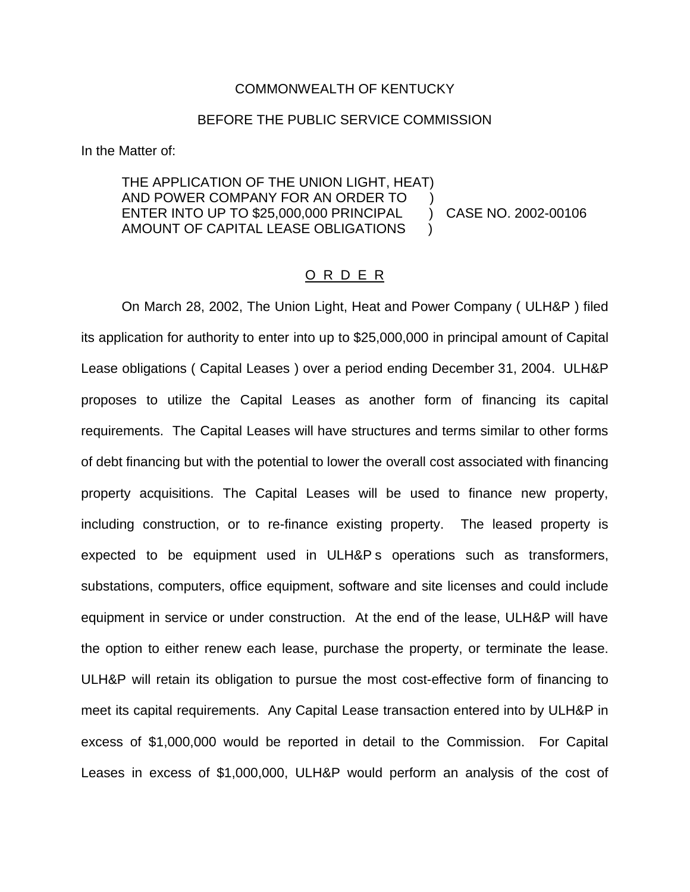## COMMONWEALTH OF KENTUCKY

## BEFORE THE PUBLIC SERVICE COMMISSION

In the Matter of:

THE APPLICATION OF THE UNION LIGHT, HEAT) AND POWER COMPANY FOR AN ORDER TO ) ENTER INTO UP TO \$25,000,000 PRINCIPAL ) CASE NO. 2002-00106 AMOUNT OF CAPITAL LEASE OBLIGATIONS )

## O R D E R

On March 28, 2002, The Union Light, Heat and Power Company ( ULH&P ) filed its application for authority to enter into up to \$25,000,000 in principal amount of Capital Lease obligations ( Capital Leases ) over a period ending December 31, 2004. ULH&P proposes to utilize the Capital Leases as another form of financing its capital requirements. The Capital Leases will have structures and terms similar to other forms of debt financing but with the potential to lower the overall cost associated with financing property acquisitions. The Capital Leases will be used to finance new property, including construction, or to re-finance existing property. The leased property is expected to be equipment used in ULH&P s operations such as transformers, substations, computers, office equipment, software and site licenses and could include equipment in service or under construction. At the end of the lease, ULH&P will have the option to either renew each lease, purchase the property, or terminate the lease. ULH&P will retain its obligation to pursue the most cost-effective form of financing to meet its capital requirements. Any Capital Lease transaction entered into by ULH&P in excess of \$1,000,000 would be reported in detail to the Commission. For Capital Leases in excess of \$1,000,000, ULH&P would perform an analysis of the cost of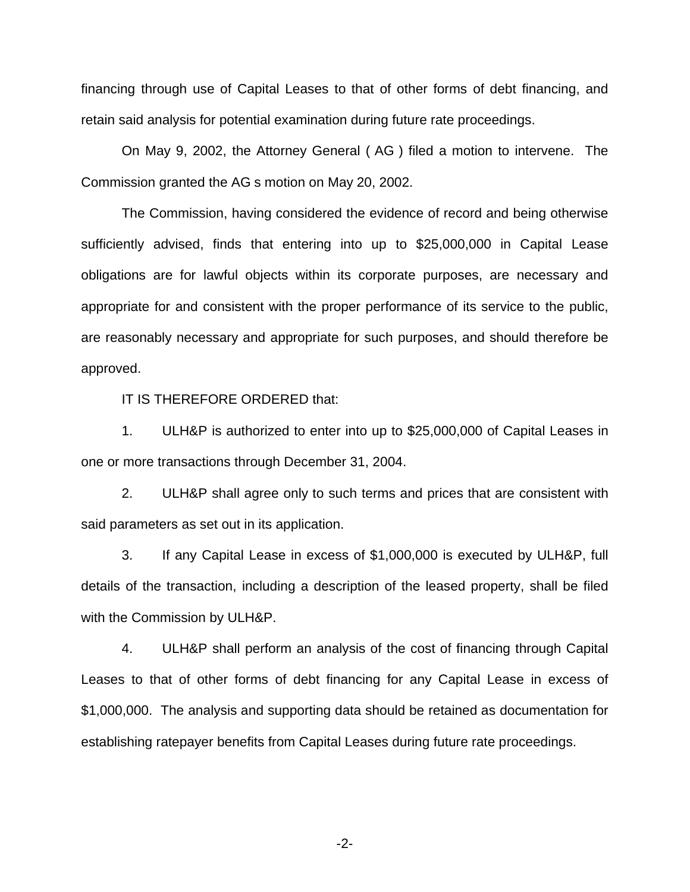financing through use of Capital Leases to that of other forms of debt financing, and retain said analysis for potential examination during future rate proceedings.

On May 9, 2002, the Attorney General ( AG ) filed a motion to intervene. The Commission granted the AG s motion on May 20, 2002.

The Commission, having considered the evidence of record and being otherwise sufficiently advised, finds that entering into up to \$25,000,000 in Capital Lease obligations are for lawful objects within its corporate purposes, are necessary and appropriate for and consistent with the proper performance of its service to the public, are reasonably necessary and appropriate for such purposes, and should therefore be approved.

IT IS THEREFORE ORDERED that:

1. ULH&P is authorized to enter into up to \$25,000,000 of Capital Leases in one or more transactions through December 31, 2004.

2. ULH&P shall agree only to such terms and prices that are consistent with said parameters as set out in its application.

3. If any Capital Lease in excess of \$1,000,000 is executed by ULH&P, full details of the transaction, including a description of the leased property, shall be filed with the Commission by ULH&P.

4. ULH&P shall perform an analysis of the cost of financing through Capital Leases to that of other forms of debt financing for any Capital Lease in excess of \$1,000,000. The analysis and supporting data should be retained as documentation for establishing ratepayer benefits from Capital Leases during future rate proceedings.

-2-